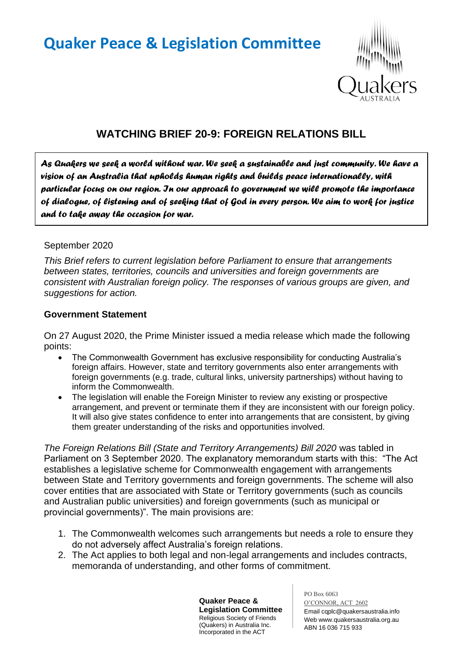# **Quaker Peace & Legislation Committee**



# **WATCHING BRIEF 20-9: FOREIGN RELATIONS BILL**

*As Quakers we seek a world without war. We seek a sustainable and just community. We have a vision of an Australia that upholds human rights and builds peace internationally, with particular focus on our region. In our approach to government we will promote the importance of dialogue, of listening and of seeking that of God in every person. We aim to work for justice and to take away the occasion for war.* 

#### September 2020

*This Brief refers to current legislation before Parliament to ensure that arrangements between states, territories, councils and universities and foreign governments are consistent with Australian foreign policy. The responses of various groups are given, and suggestions for action.*

#### **Government Statement**

On 27 August 2020, the Prime Minister issued a media release which made the following points:

- The Commonwealth Government has exclusive responsibility for conducting Australia's foreign affairs. However, state and territory governments also enter arrangements with foreign governments (e.g. trade, cultural links, university partnerships) without having to inform the Commonwealth.
- The legislation will enable the Foreign Minister to review any existing or prospective arrangement, and prevent or terminate them if they are inconsistent with our foreign policy. It will also give states confidence to enter into arrangements that are consistent, by giving them greater understanding of the risks and opportunities involved.

*The Foreign Relations Bill (State and Territory Arrangements) Bill 2020* was tabled in Parliament on 3 September 2020. The explanatory memorandum starts with this: "The Act establishes a legislative scheme for Commonwealth engagement with arrangements between State and Territory governments and foreign governments. The scheme will also cover entities that are associated with State or Territory governments (such as councils and Australian public universities) and foreign governments (such as municipal or provincial governments)". The main provisions are:

- 1. The Commonwealth welcomes such arrangements but needs a role to ensure they do not adversely affect Australia's foreign relations.
- 2. The Act applies to both legal and non-legal arrangements and includes contracts, memoranda of understanding, and other forms of commitment.

**Quaker Peace & Legislation Committee** Religious Society of Friends (Quakers) in Australia Inc. Incorporated in the ACT

PO Box 6063 O'CONNOR, ACT 2602 Email cqplc@quakersaustralia.info Web www.quakersaustralia.org.au ABN 16 036 715 933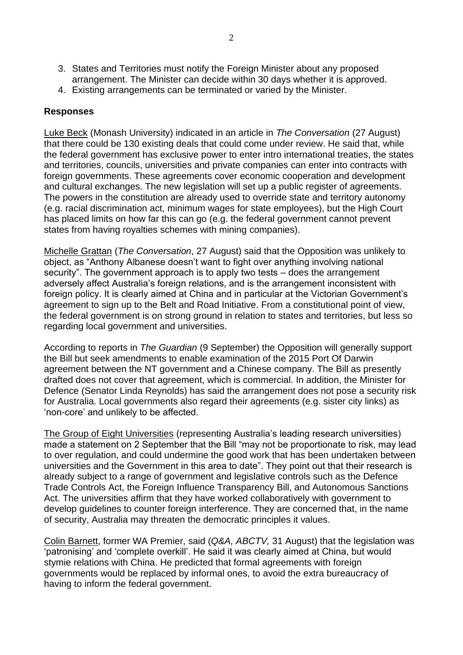- 3. States and Territories must notify the Foreign Minister about any proposed arrangement. The Minister can decide within 30 days whether it is approved.
- 4. Existing arrangements can be terminated or varied by the Minister.

#### **Responses**

Luke Beck (Monash University) indicated in an article in *The Conversation* (27 August) that there could be 130 existing deals that could come under review. He said that, while the federal government has exclusive power to enter intro international treaties, the states and territories, councils, universities and private companies can enter into contracts with foreign governments. These agreements cover economic cooperation and development and cultural exchanges. The new legislation will set up a public register of agreements. The powers in the constitution are already used to override state and territory autonomy (e.g. racial discrimination act, minimum wages for state employees), but the High Court has placed limits on how far this can go (e.g. the federal government cannot prevent states from having royalties schemes with mining companies).

Michelle Grattan (*The Conversation*, 27 August) said that the Opposition was unlikely to object, as "Anthony Albanese doesn't want to fight over anything involving national security". The government approach is to apply two tests – does the arrangement adversely affect Australia's foreign relations, and is the arrangement inconsistent with foreign policy. It is clearly aimed at China and in particular at the Victorian Government's agreement to sign up to the Belt and Road Initiative. From a constitutional point of view, the federal government is on strong ground in relation to states and territories, but less so regarding local government and universities.

According to reports in *The Guardian* (9 September) the Opposition will generally support the Bill but seek amendments to enable examination of the 2015 Port Of Darwin agreement between the NT government and a Chinese company. The Bill as presently drafted does not cover that agreement, which is commercial. In addition, the Minister for Defence (Senator Linda Reynolds) has said the arrangement does not pose a security risk for Australia. Local governments also regard their agreements (e.g. sister city links) as 'non-core' and unlikely to be affected.

The Group of Eight Universities (representing Australia's leading research universities) made a statement on 2 September that the Bill "may not be proportionate to risk, may lead to over regulation, and could undermine the good work that has been undertaken between universities and the Government in this area to date". They point out that their research is already subject to a range of government and legislative controls such as the Defence Trade Controls Act, the Foreign Influence Transparency Bill, and Autonomous Sanctions Act. The universities affirm that they have worked collaboratively with government to develop guidelines to counter foreign interference. They are concerned that, in the name of security, Australia may threaten the democratic principles it values.

Colin Barnett, former WA Premier, said (*Q&A, ABCTV,* 31 August) that the legislation was 'patronising' and 'complete overkill'. He said it was clearly aimed at China, but would stymie relations with China. He predicted that formal agreements with foreign governments would be replaced by informal ones, to avoid the extra bureaucracy of having to inform the federal government.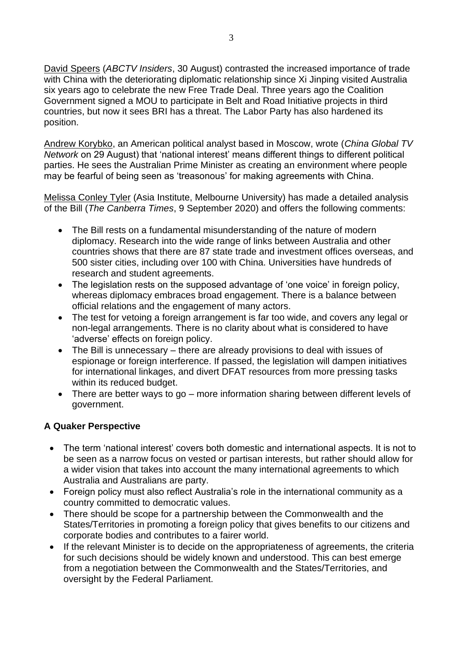David Speers (*ABCTV Insiders*, 30 August) contrasted the increased importance of trade with China with the deteriorating diplomatic relationship since Xi Jinping visited Australia six years ago to celebrate the new Free Trade Deal. Three years ago the Coalition Government signed a MOU to participate in Belt and Road Initiative projects in third countries, but now it sees BRI has a threat. The Labor Party has also hardened its position.

Andrew Korybko, an American political analyst based in Moscow, wrote (*China Global TV Network* on 29 August) that 'national interest' means different things to different political parties. He sees the Australian Prime Minister as creating an environment where people may be fearful of being seen as 'treasonous' for making agreements with China.

Melissa Conley Tyler (Asia Institute, Melbourne University) has made a detailed analysis of the Bill (*The Canberra Times*, 9 September 2020) and offers the following comments:

- The Bill rests on a fundamental misunderstanding of the nature of modern diplomacy. Research into the wide range of links between Australia and other countries shows that there are 87 state trade and investment offices overseas, and 500 sister cities, including over 100 with China. Universities have hundreds of research and student agreements.
- The legislation rests on the supposed advantage of 'one voice' in foreign policy, whereas diplomacy embraces broad engagement. There is a balance between official relations and the engagement of many actors.
- The test for vetoing a foreign arrangement is far too wide, and covers any legal or non-legal arrangements. There is no clarity about what is considered to have 'adverse' effects on foreign policy.
- The Bill is unnecessary there are already provisions to deal with issues of espionage or foreign interference. If passed, the legislation will dampen initiatives for international linkages, and divert DFAT resources from more pressing tasks within its reduced budget.
- There are better ways to go more information sharing between different levels of government.

## **A Quaker Perspective**

- The term 'national interest' covers both domestic and international aspects. It is not to be seen as a narrow focus on vested or partisan interests, but rather should allow for a wider vision that takes into account the many international agreements to which Australia and Australians are party.
- Foreign policy must also reflect Australia's role in the international community as a country committed to democratic values.
- There should be scope for a partnership between the Commonwealth and the States/Territories in promoting a foreign policy that gives benefits to our citizens and corporate bodies and contributes to a fairer world.
- If the relevant Minister is to decide on the appropriateness of agreements, the criteria for such decisions should be widely known and understood. This can best emerge from a negotiation between the Commonwealth and the States/Territories, and oversight by the Federal Parliament.